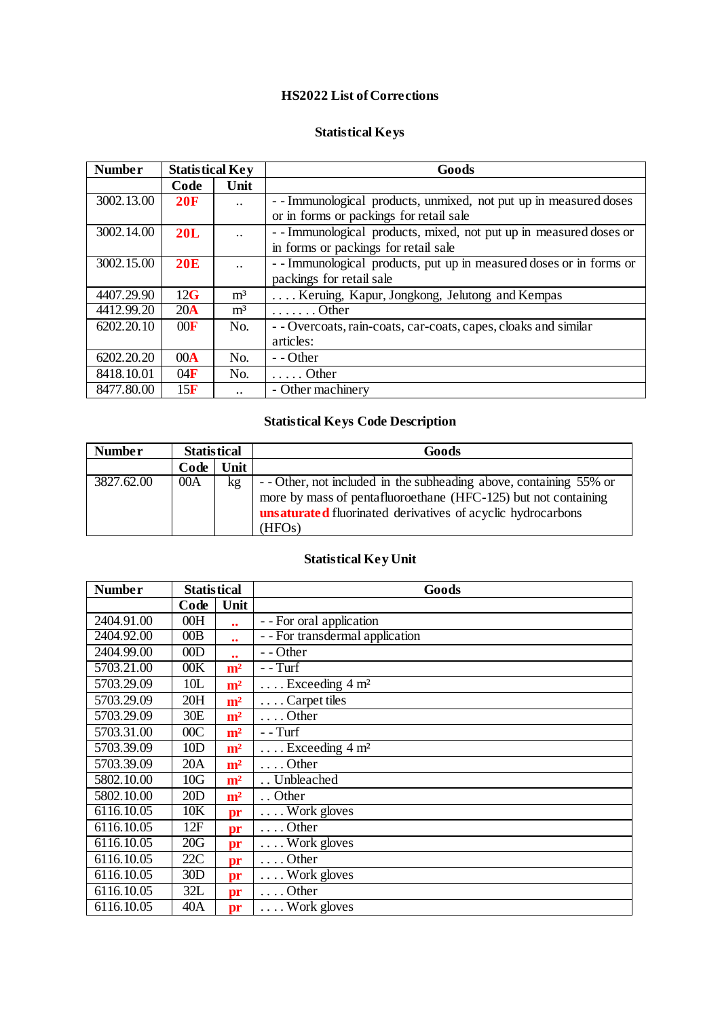## **HS2022 List of Corrections**

## **Statistical Keys**

| <b>Number</b> | <b>Statistical Key</b> |                           | Goods                                                               |
|---------------|------------------------|---------------------------|---------------------------------------------------------------------|
|               | Code                   | Unit                      |                                                                     |
| 3002.13.00    | 20F                    | $\ddot{\phantom{0}}\cdot$ | --Immunological products, unmixed, not put up in measured doses     |
|               |                        |                           | or in forms or packings for retail sale                             |
| 3002.14.00    | 20L                    | $\ddot{\phantom{0}}\cdot$ | --Immunological products, mixed, not put up in measured doses or    |
|               |                        |                           | in forms or packings for retail sale                                |
| 3002.15.00    | 20E                    | $\ddot{\phantom{a}}$      | - - Immunological products, put up in measured doses or in forms or |
|               |                        |                           | packings for retail sale                                            |
| 4407.29.90    | 12G                    | m <sup>3</sup>            | Keruing, Kapur, Jongkong, Jelutong and Kempas                       |
| 4412.99.20    | $20\text{Å}$           | m <sup>3</sup>            | $\ldots \ldots$ . Other                                             |
| 6202.20.10    | 00F                    | N <sub>O</sub>            | - - Overcoats, rain-coats, car-coats, capes, cloaks and similar     |
|               |                        |                           | articles:                                                           |
| 6202.20.20    | 00 <sub>A</sub>        | No.                       | $-$ - Other                                                         |
| 8418.10.01    | 04F                    | No.                       | $\ldots$ Other                                                      |
| 8477.80.00    | 15F                    | $\ddotsc$                 | - Other machinery                                                   |

# **Statistical Keys Code Description**

| <b>Number</b> | <b>Statistical</b> |      | Goods                                                              |
|---------------|--------------------|------|--------------------------------------------------------------------|
|               | Code               | Unit |                                                                    |
| 3827.62.00    | 00A                | kg   | - - Other, not included in the subheading above, containing 55% or |
|               |                    |      | more by mass of pentafluoroethane (HFC-125) but not containing     |
|               |                    |      | <b>unsaturated</b> fluorinated derivatives of acyclic hydrocarbons |
|               |                    |      | (HFO <sub>s</sub> )                                                |

# **Statistical Key Unit**

| <b>Number</b> | <b>Statistical</b> |                   | Goods                               |
|---------------|--------------------|-------------------|-------------------------------------|
|               | Code               | Unit              |                                     |
| 2404.91.00    | 00H                | $\bullet\bullet$  | - - For oral application            |
| 2404.92.00    | 00B                | $\bullet \bullet$ | - - For transdermal application     |
| 2404.99.00    | 00D                |                   | - - Other                           |
| 5703.21.00    | 00K                | m <sup>2</sup>    | $ Turf$                             |
| 5703.29.09    | 10L                | m <sup>2</sup>    | $\ldots$ Exceeding 4 m <sup>2</sup> |
| 5703.29.09    | 20H                | m <sup>2</sup>    | Carpet tiles                        |
| 5703.29.09    | 30E                | m <sup>2</sup>    | $\ldots$ Other                      |
| 5703.31.00    | 00C                | m <sup>2</sup>    | $ Turf$                             |
| 5703.39.09    | 10D                | m <sup>2</sup>    | $\ldots$ Exceeding 4 m <sup>2</sup> |
| 5703.39.09    | 20A                | m <sup>2</sup>    | $\ldots$ Other                      |
| 5802.10.00    | 10G                | m <sup>2</sup>    | Unbleached                          |
| 5802.10.00    | 20D                | m <sup>2</sup>    | Other                               |
| 6116.10.05    | 10K                | pr                | $\ldots$ Work gloves                |
| 6116.10.05    | 12F                | pr                | $\ldots$ Other                      |
| 6116.10.05    | 20G                | pr                | $\ldots$ Work gloves                |
| 6116.10.05    | 22C                | pr                | $\ldots$ Other                      |
| 6116.10.05    | 30D                | pr                | $\ldots$ Work gloves                |
| 6116.10.05    | 32L                | pr                | $\ldots$ Other                      |
| 6116.10.05    | 40A                | pr                | $\ldots$ Work gloves                |